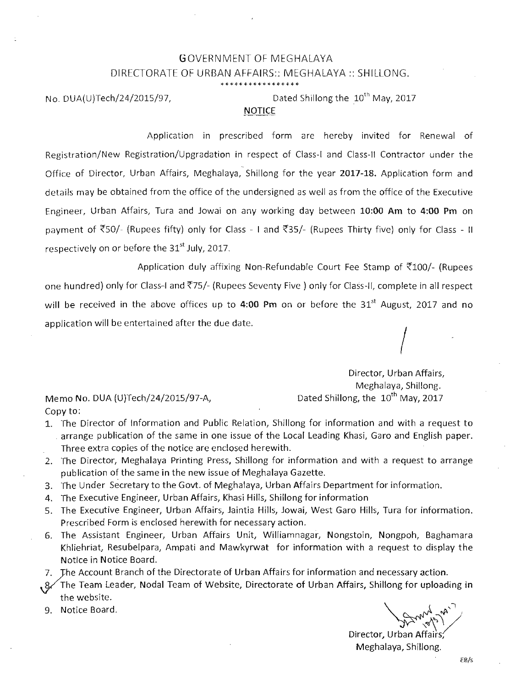### OVERNMENT OF MEGHALAYA GDIRECTORATE OF URBAN AFFAIRS:: MEGHALAYA:: SHILLONG. **\*\*\*\*\* \* \* \*\*\* \*\*\*\*\*\*\***

No. DUA(U)Tech/24/2015/97,  $D_{\text{D}}$  Dated Shillong the  $10^{\text{th}}$  May, 2017

#### **NOTICE**

Application in prescribed form are hereby invited for Renewal of Registration/New Registration/Upgradation in respect of Class-I and Class-II Contractor under the Office of Director, Urban Affairs, Meghalaya, Shillong for the year 2017-18. Application form and details may be obtained from the office of the undersigned as well as from the office of the Executive Engineer, Urban Affairs, Tura and Jowai on any working day between 10:00 Am to 4:00 **Pm** on payment of  $\overline{550}$ - (Rupees fifty) only for Class - I and  $\overline{535}$ - (Rupees Thirty five) only for Class - II respectively on or before the *st 31* July, 2017.

Application duly affixing Non-Refundable Court Fee Stamp of  $\overline{5}100$ /- (Rupees one hundred) only for Class-I and ~75/ (Rupees Seventy Five) only for ClaSS-II, complete in all respect will be received in the above offices up to 4:00 **Pm** on or before the 31't August, 2017 and no application will be entertained after the due date.  $\left\vert \right\vert$ 

Memo No. DUA (U)Tech/24/2015/97-A, Dated Shillong, the  $10^{th}$  May, 2017 Director, Urban Affairs, Meghalaya, Shillong.

Copy to:

- 1. The Director of Information and Public Relation, Shillong for information and with a request to . arrange publication of the same in one issue of the Local Leading Khasi, Garo and English paper. Three extra copies of the notice are enclosed herewith.
- 2. The Director, Meghalaya Printing Press, Shillong for information and with a request to arrange publication of the same in the new issue of Meghalaya Gazette.
- 3. The Under Secretary to the Govt. of Meghalaya, Urban Affairs Department for information.
- 4. The Executive Engineer, Urban Affairs, Khasi Hills, Shillong for information
- 5. The Executive Engineer, Urban Affairs, Jaintia Hills, Jowai, West Garo Hills, Tura for information. Prescribed Form is enclosed herewith for necessary action.
- 6. The Assistant Engineer, Urban Affairs Unit, Williamnagar, Nongstoin, Nongpoh, Baghamara Khliehriat, Resubelpara, Ampati and Mawkyrwat for information with a request to display the Notice in Notice Board.
- *7. JIle*
- 7. The Account Branch of the Directorate of Urban Affairs for information and necessary action.<br>8. The Team Leader, Nodal Team of Website, Directorate of Urban Affairs, Shillong for uploadi 3. The Team Leader, Nodal Team of Website, Directorate of Urban Affairs, Shillong for uploading in the website.
- 9. Notice Board.

Director, Urban Affairs; Meghalaya, Shillong.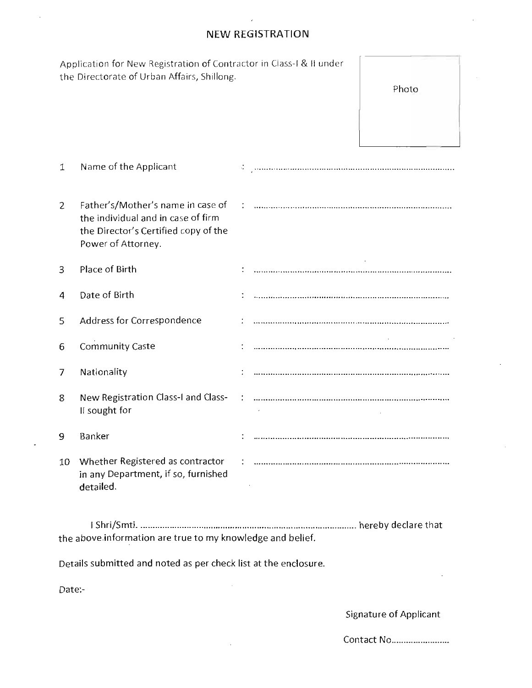## **NEW REGISTRATION**

|                                                                 | Application for New Registration of Contractor in Class-I & II under<br>the Directorate of Urban Affairs, Shillong.                   |  |  |                        |  |  |  |
|-----------------------------------------------------------------|---------------------------------------------------------------------------------------------------------------------------------------|--|--|------------------------|--|--|--|
|                                                                 |                                                                                                                                       |  |  | Photo                  |  |  |  |
|                                                                 |                                                                                                                                       |  |  |                        |  |  |  |
| 1                                                               | Name of the Applicant                                                                                                                 |  |  |                        |  |  |  |
| $\overline{c}$                                                  | Father's/Mother's name in case of<br>the individual and in case of firm<br>the Director's Certified copy of the<br>Power of Attorney. |  |  |                        |  |  |  |
| 3                                                               | Place of Birth                                                                                                                        |  |  |                        |  |  |  |
| 4                                                               | Date of Birth                                                                                                                         |  |  |                        |  |  |  |
| 5                                                               | Address for Correspondence                                                                                                            |  |  |                        |  |  |  |
| 6                                                               | <b>Community Caste</b>                                                                                                                |  |  |                        |  |  |  |
| 7                                                               | Nationality                                                                                                                           |  |  |                        |  |  |  |
| 8                                                               | New Registration Class-I and Class-<br>Il sought for                                                                                  |  |  |                        |  |  |  |
| 9                                                               | Banker                                                                                                                                |  |  |                        |  |  |  |
| 10                                                              | Whether Registered as contractor<br>in any Department, if so, furnished<br>detailed.                                                  |  |  |                        |  |  |  |
| the above information are true to my knowledge and belief.      |                                                                                                                                       |  |  |                        |  |  |  |
|                                                                 |                                                                                                                                       |  |  |                        |  |  |  |
| Details submitted and noted as per check list at the enclosure. |                                                                                                                                       |  |  |                        |  |  |  |
| Date:-                                                          |                                                                                                                                       |  |  |                        |  |  |  |
|                                                                 |                                                                                                                                       |  |  | Signature of Applicant |  |  |  |

Contact No ....................... .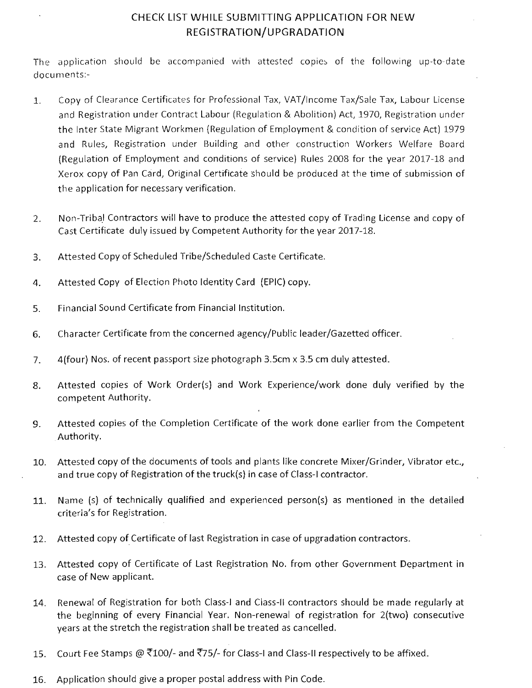## CHECK LIST WHILE SUBMITTING APPLICATION FOR NEW REGISTRATION/UPGRADATION

The application should be accompanied with attested copies of the following up-to-date documents:-

- 1. Copy of Clearance Certificates for Professional Tax, VAT/Income Tax/Sale Tax, Labour License and Registration under Contract Labour (Regulation & Abolition) Act, 1970, Registration under the Inter State Migrant Workmen (Regulation of Employment & condition of service Act) 1979 and Rules, Registration under Building and other construction Workers Welfare Board (Regulation of Employment and conditions of service) Rules 2008 for the year 2017-18 and Xerox copy of Pan Card, Original Certificate should be produced at the time of submission of the application for necessary verification.
- 2. Non-Tribal Contractors will have to produce the attested copy of Trading License and copy of Cast Certificate duly issued by Competent Authority for the year 2017-18.
- 3. Attested Copy of Scheduled Tribe/Scheduled Caste Certificate.
- 4. Attested Copy of Election Photo Identity Card (EPIC) copy.
- 5. Financial Sound Certificate from Financial Institution.
- 6. Character Certificate from the concerned agency/Public leader/Gazetted officer.
- 7. 4(four) Nos. of recent passport size photograph 3.5cm x 3.5 cm duly attested.
- 8. Attested copies of Work Order(s) and Work Experience/work done duly verified by the competent Authority.
- 9. Attested copies of the Completion Certificate of the work done earlier from the Competent Authority.
- 10. Attested copy of the documents of tools and plants like concrete Mixer/Grinder, Vibrator etc., and true copy of Registration of the truck(s) in case of Class-I contractor.
- 11. Name (s) of technically qualified and experienced person(s) as mentioned in the detailed criteria's for Registration.
- 12. Attested copy of Certificate of last Registration in case of upgradation contractors.
- 13. Attested copy of Certificate of Last Registration No. from other Government Department in case of New applicant.
- 14. Renewal of Registration for both Class-I and Class-II contractors should be made regularly at the beginning of every Financial Year. Non-renewal of registration for 2(two) consecutive years at the stretch the registration shall be treated as cancelled.
- 15. Court Fee Stamps @  $\overline{5}100$ /- and  $\overline{5}75$ /- for Class-I and Class-II respectively to be affixed.
- 16. Application should give a proper postal address with Pin Code.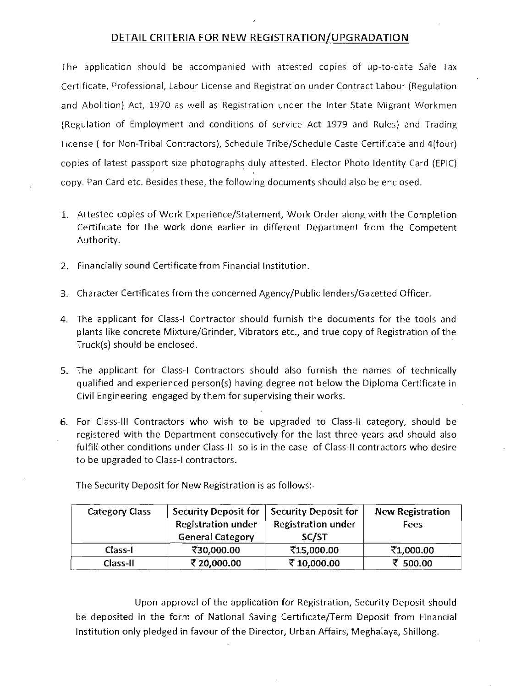### DETAil CRITERIA FOR NEW REGISTRATION/UPGRADATION

The application should be accompanied with attested copies of up-to-date Sale Tax Certificate, Professional, Labour License and Registration under Contract Labour (Regulation and Abolition) Act, 1970 as well as Registration under the Inter State Migrant Workmen (Regulation of Employment and conditions of service Act 1979 and Rules) and Trading License ( for Non-Tribal Contractors), Schedule Tribe/Schedule Caste Certificate and 4{four) copies of latest passport size photographs duly attested. Elector Photo Identity Card (EPIC) copy. Pan Card etc. Besides these, the following documents should also be enclosed.

- 1. Attested copies of Work Experience/Statement, Work Order along with the Completion Certificate for the work done earlier in different Department from the Competent Authority.
- 2. Financially sound Certificate from Financial Institution.
- 3. Character Certificates from the concerned Agency/Public lenders/Gazetted Officer.
- 4. The applicant for Class-I Contractor should furnish the documents for the tools and plants like concrete Mixture/Grinder, Vibrators etc., and true copy of Registration of the Truck{s) should be enclosed. -
- 5. The applicant for Class-I Contractors should also furnish the names of technically qualified and experienced person{s) having degree not below the Diploma Certificate in Civil Engineering engaged by them for supervising their works.
- 6. For Class-III Contractors who wish to be upgraded to Class-II category, should be registered with the Department consecutively for the last three years and should also fulfill other conditions under Class-II so is in the case of Class-II contractors who desire to be upgraded to Class-I contractors.

| <b>Category Class</b> | <b>Security Deposit for</b><br><b>Registration under</b><br><b>General Category</b> | <b>Security Deposit for</b><br><b>Registration under</b><br>SC/ST | <b>New Registration</b><br>Fees |
|-----------------------|-------------------------------------------------------------------------------------|-------------------------------------------------------------------|---------------------------------|
| Class-I               | ₹30,000.00                                                                          | ₹15,000.00                                                        | ₹1,000.00                       |
| <b>Class-II</b>       | ₹20,000.00                                                                          | ₹10,000.00                                                        | ₹ 500.00                        |

The Security Deposit for New Registration is as follows:-

Upon approval of the application for Registration, Security Deposit should be deposited in the form of National Saving Certificate/Term Deposit from Financial Institution only pledged in favour of the Director, Urban Affairs, Meghalaya, Shillong.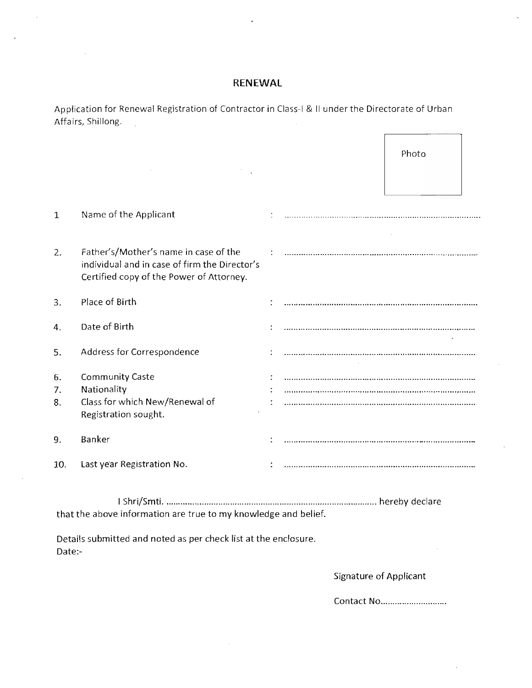## **RENEWAL**

Application for Renewal Registration of Contractor in Class-I & II under the Directorate of Urban Affairs, Shillong.  $\frac{1}{2}$ 

|                                                                 |                                                                                                                                    |  |                               | Photo      |  |  |  |  |
|-----------------------------------------------------------------|------------------------------------------------------------------------------------------------------------------------------------|--|-------------------------------|------------|--|--|--|--|
|                                                                 |                                                                                                                                    |  |                               |            |  |  |  |  |
| 1                                                               | Name of the Applicant                                                                                                              |  |                               |            |  |  |  |  |
| 2.                                                              | Father's/Mother's name in case of the<br>individual and in case of firm the Director's<br>Certified copy of the Power of Attorney. |  |                               |            |  |  |  |  |
| 3.                                                              | Place of Birth                                                                                                                     |  |                               |            |  |  |  |  |
| 4.                                                              | Date of Birth                                                                                                                      |  |                               |            |  |  |  |  |
| 5.                                                              | Address for Correspondence                                                                                                         |  |                               |            |  |  |  |  |
| 6.                                                              | <b>Community Caste</b>                                                                                                             |  |                               |            |  |  |  |  |
| 7.                                                              | Nationality                                                                                                                        |  |                               |            |  |  |  |  |
| 8.                                                              | Class for which New/Renewal of<br>Registration sought.                                                                             |  |                               |            |  |  |  |  |
| 9.                                                              | Banker                                                                                                                             |  |                               |            |  |  |  |  |
| 10.                                                             | Last year Registration No.                                                                                                         |  |                               |            |  |  |  |  |
| that the above information are true to my knowledge and belief. |                                                                                                                                    |  |                               |            |  |  |  |  |
| Date:-                                                          | Details submitted and noted as per check list at the enclosure.                                                                    |  |                               |            |  |  |  |  |
|                                                                 |                                                                                                                                    |  | <b>Signature of Applicant</b> |            |  |  |  |  |
|                                                                 |                                                                                                                                    |  |                               | Contact No |  |  |  |  |